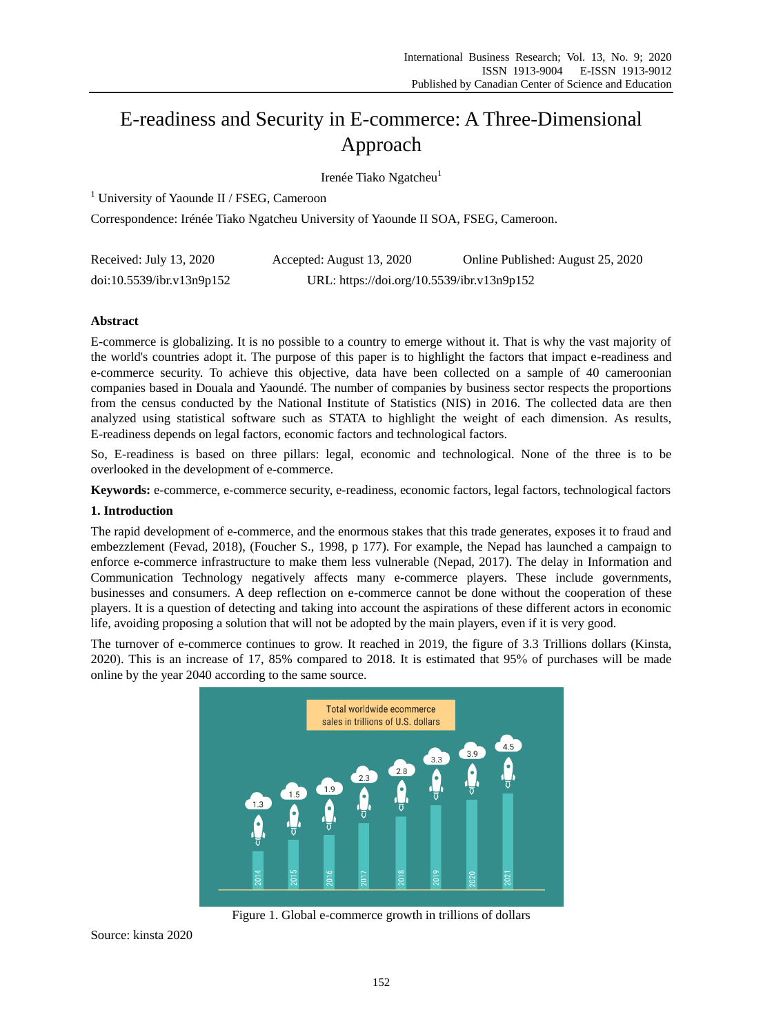# E-readiness and Security in E-commerce: A Three-Dimensional Approach

Iren ée Tiako Ngatcheu<sup>1</sup>

 $1$  University of Yaounde II / FSEG, Cameroon

Correspondence: Irénée Tiako Ngatcheu University of Yaounde II SOA, FSEG, Cameroon.

| Received: July 13, 2020   | Accepted: August 13, 2020                  | Online Published: August 25, 2020 |
|---------------------------|--------------------------------------------|-----------------------------------|
| doi:10.5539/ibr.v13n9p152 | URL: https://doi.org/10.5539/ibr.v13n9p152 |                                   |

# **Abstract**

E-commerce is globalizing. It is no possible to a country to emerge without it. That is why the vast majority of the world's countries adopt it. The purpose of this paper is to highlight the factors that impact e-readiness and e-commerce security. To achieve this objective, data have been collected on a sample of 40 cameroonian companies based in Douala and Yaoundé. The number of companies by business sector respects the proportions from the census conducted by the National Institute of Statistics (NIS) in 2016. The collected data are then analyzed using statistical software such as STATA to highlight the weight of each dimension. As results, E-readiness depends on legal factors, economic factors and technological factors.

So, E-readiness is based on three pillars: legal, economic and technological. None of the three is to be overlooked in the development of e-commerce.

**Keywords:** e-commerce, e-commerce security, e-readiness, economic factors, legal factors, technological factors

# **1. Introduction**

The rapid development of e-commerce, and the enormous stakes that this trade generates, exposes it to fraud and embezzlement (Fevad, 2018), (Foucher S., 1998, p 177). For example, the Nepad has launched a campaign to enforce e-commerce infrastructure to make them less vulnerable (Nepad, 2017). The delay in Information and Communication Technology negatively affects many e-commerce players. These include governments, businesses and consumers. A deep reflection on e-commerce cannot be done without the cooperation of these players. It is a question of detecting and taking into account the aspirations of these different actors in economic life, avoiding proposing a solution that will not be adopted by the main players, even if it is very good.

The turnover of e-commerce continues to grow. It reached in 2019, the figure of 3.3 Trillions dollars (Kinsta, 2020). This is an increase of 17, 85% compared to 2018. It is estimated that 95% of purchases will be made online by the year 2040 according to the same source.



Figure 1. Global e-commerce growth in trillions of dollars

Source: kinsta 2020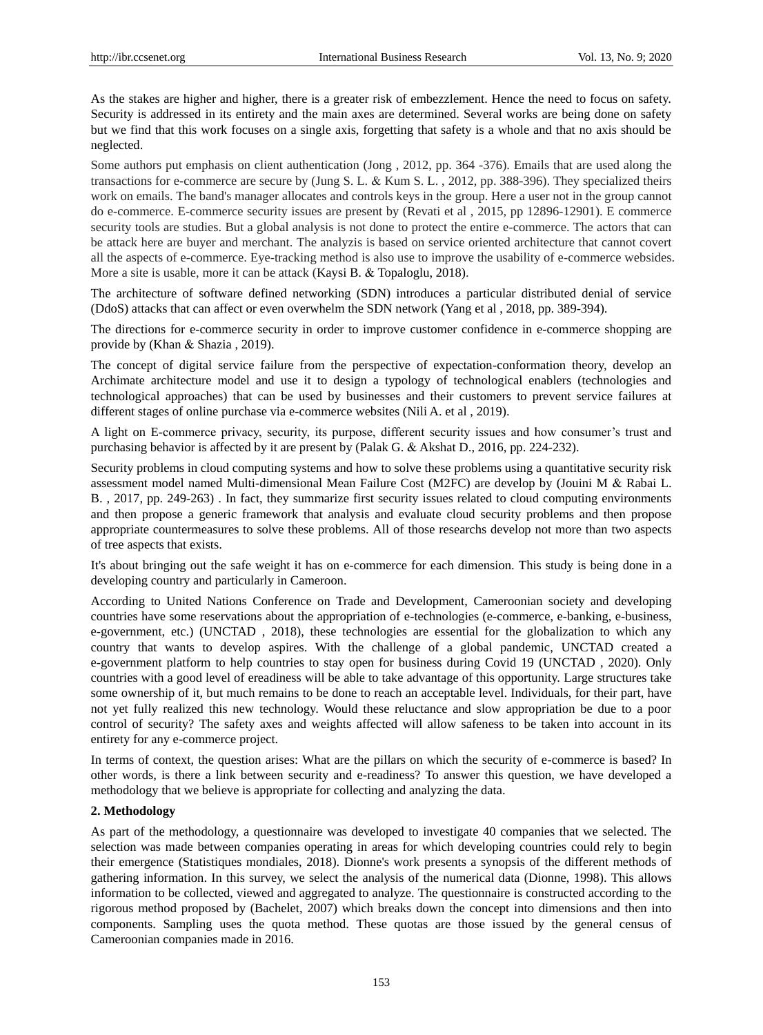As the stakes are higher and higher, there is a greater risk of embezzlement. Hence the need to focus on safety. Security is addressed in its entirety and the main axes are determined. Several works are being done on safety but we find that this work focuses on a single axis, forgetting that safety is a whole and that no axis should be neglected.

Some authors put emphasis on client authentication (Jong , 2012, pp. 364 -376). Emails that are used along the transactions for e-commerce are secure by (Jung S. L. Kum S. L. , 2012, pp. 388-396). They specialized theirs work on emails. The band's manager allocates and controls keys in the group. Here a user not in the group cannot do e-commerce. E-commerce security issues are present by (Revati et al , 2015, pp 12896-12901). E commerce security tools are studies. But a global analysis is not done to protect the entire e-commerce. The actors that can be attack here are buyer and merchant. The analyzis is based on service oriented architecture that cannot covert all the aspects of e-commerce. Eye-tracking method is also use to improve the usability of e-commerce websides. More a site is usable, more it can be attack (Kaysi B. & Topaloglu, 2018).

The architecture of software defined networking (SDN) introduces a particular distributed denial of service (DdoS) attacks that can affect or even overwhelm the SDN network (Yang et al , 2018, pp. 389-394).

The directions for e-commerce security in order to improve customer confidence in e-commerce shopping are provide by (Khan & Shazia, 2019).

The concept of digital service failure from the perspective of expectation-conformation theory, develop an Archimate architecture model and use it to design a typology of technological enablers (technologies and technological approaches) that can be used by businesses and their customers to prevent service failures at different stages of online purchase via e-commerce websites (Nili A. et al , 2019).

A light on E-commerce privacy, security, its purpose, different security issues and how consumer's trust and purchasing behavior is affected by it are present by (Palak G. & Akshat D., 2016, pp. 224-232).

Security problems in cloud computing systems and how to solve these problems using a quantitative security risk assessment model named Multi-dimensional Mean Failure Cost (M2FC) are develop by (Jouini M & Rabai L. B. , 2017, pp. 249-263) . In fact, they summarize first security issues related to cloud computing environments and then propose a generic framework that analysis and evaluate cloud security problems and then propose appropriate countermeasures to solve these problems. All of those researchs develop not more than two aspects of tree aspects that exists.

It's about bringing out the safe weight it has on e-commerce for each dimension. This study is being done in a developing country and particularly in Cameroon.

According to United Nations Conference on Trade and Development, Cameroonian society and developing countries have some reservations about the appropriation of e-technologies (e-commerce, e-banking, e-business, e-government, etc.) (UNCTAD , 2018), these technologies are essential for the globalization to which any country that wants to develop aspires. With the challenge of a global pandemic, UNCTAD created a e-government platform to help countries to stay open for business during Covid 19 (UNCTAD , 2020). Only countries with a good level of ereadiness will be able to take advantage of this opportunity. Large structures take some ownership of it, but much remains to be done to reach an acceptable level. Individuals, for their part, have not yet fully realized this new technology. Would these reluctance and slow appropriation be due to a poor control of security? The safety axes and weights affected will allow safeness to be taken into account in its entirety for any e-commerce project.

In terms of context, the question arises: What are the pillars on which the security of e-commerce is based? In other words, is there a link between security and e-readiness? To answer this question, we have developed a methodology that we believe is appropriate for collecting and analyzing the data.

## **2. Methodology**

As part of the methodology, a questionnaire was developed to investigate 40 companies that we selected. The selection was made between companies operating in areas for which developing countries could rely to begin their emergence (Statistiques mondiales, 2018). Dionne's work presents a synopsis of the different methods of gathering information. In this survey, we select the analysis of the numerical data (Dionne, 1998). This allows information to be collected, viewed and aggregated to analyze. The questionnaire is constructed according to the rigorous method proposed by (Bachelet, 2007) which breaks down the concept into dimensions and then into components. Sampling uses the quota method. These quotas are those issued by the general census of Cameroonian companies made in 2016.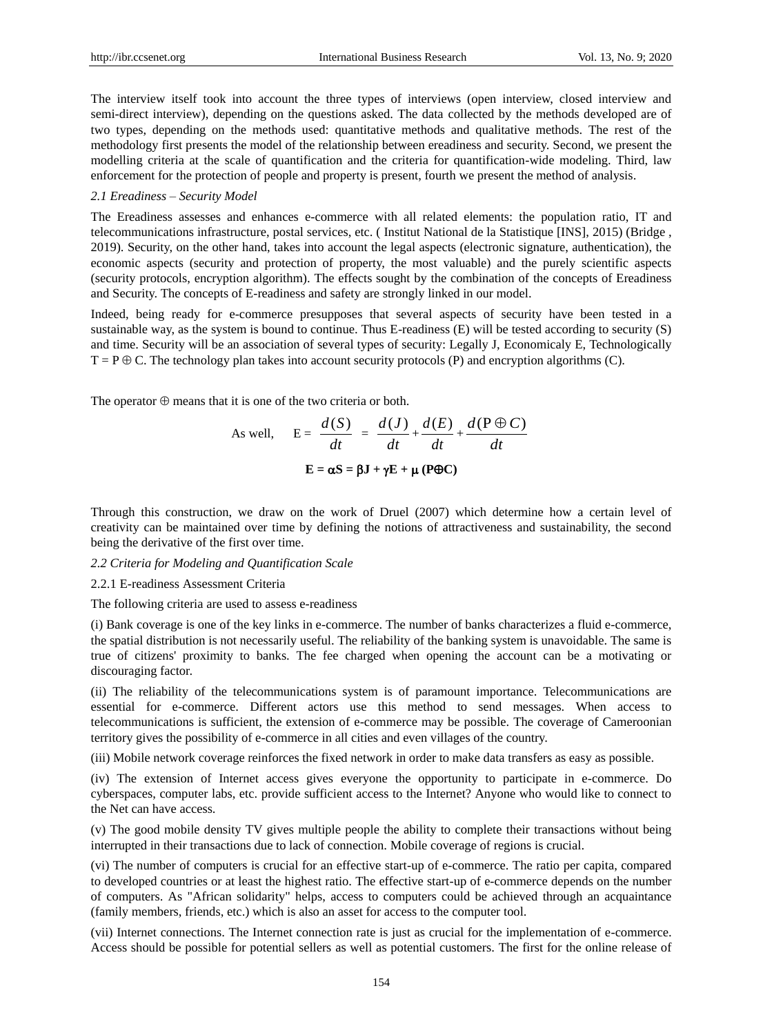The interview itself took into account the three types of interviews (open interview, closed interview and semi-direct interview), depending on the questions asked. The data collected by the methods developed are of two types, depending on the methods used: quantitative methods and qualitative methods. The rest of the methodology first presents the model of the relationship between ereadiness and security. Second, we present the modelling criteria at the scale of quantification and the criteria for quantification-wide modeling. Third, law enforcement for the protection of people and property is present, fourth we present the method of analysis.

## *2.1 Ereadiness – Security Model*

The Ereadiness assesses and enhances e-commerce with all related elements: the population ratio, IT and telecommunications infrastructure, postal services, etc. ( Institut National de la Statistique [INS], 2015) (Bridge , 2019). Security, on the other hand, takes into account the legal aspects (electronic signature, authentication), the economic aspects (security and protection of property, the most valuable) and the purely scientific aspects (security protocols, encryption algorithm). The effects sought by the combination of the concepts of Ereadiness and Security. The concepts of E-readiness and safety are strongly linked in our model.

Indeed, being ready for e-commerce presupposes that several aspects of security have been tested in a sustainable way, as the system is bound to continue. Thus E-readiness (E) will be tested according to security (S) and time. Security will be an association of several types of security: Legally J, Economicaly E, Technologically  $T = P \oplus C$ . The technology plan takes into account security protocols (P) and encryption algorithms (C).

The operator  $\oplus$  means that it is one of the two criteria or both.

As well, 
$$
E = \frac{d(S)}{dt} = \frac{d(J)}{dt} + \frac{d(E)}{dt} + \frac{d(P \oplus C)}{dt}
$$
  
 $E = \alpha S = \beta J + \gamma E + \mu (P \oplus C)$ 

Through this construction, we draw on the work of Druel (2007) which determine how a certain level of creativity can be maintained over time by defining the notions of attractiveness and sustainability, the second being the derivative of the first over time.

## *2.2 Criteria for Modeling and Quantification Scale*

# 2.2.1 E-readiness Assessment Criteria

The following criteria are used to assess e-readiness

(i) Bank coverage is one of the key links in e-commerce. The number of banks characterizes a fluid e-commerce, the spatial distribution is not necessarily useful. The reliability of the banking system is unavoidable. The same is true of citizens' proximity to banks. The fee charged when opening the account can be a motivating or discouraging factor.

(ii) The reliability of the telecommunications system is of paramount importance. Telecommunications are essential for e-commerce. Different actors use this method to send messages. When access to telecommunications is sufficient, the extension of e-commerce may be possible. The coverage of Cameroonian territory gives the possibility of e-commerce in all cities and even villages of the country.

(iii) Mobile network coverage reinforces the fixed network in order to make data transfers as easy as possible.

(iv) The extension of Internet access gives everyone the opportunity to participate in e-commerce. Do cyberspaces, computer labs, etc. provide sufficient access to the Internet? Anyone who would like to connect to the Net can have access.

(v) The good mobile density TV gives multiple people the ability to complete their transactions without being interrupted in their transactions due to lack of connection. Mobile coverage of regions is crucial.

(vi) The number of computers is crucial for an effective start-up of e-commerce. The ratio per capita, compared to developed countries or at least the highest ratio. The effective start-up of e-commerce depends on the number of computers. As "African solidarity" helps, access to computers could be achieved through an acquaintance (family members, friends, etc.) which is also an asset for access to the computer tool.

(vii) Internet connections. The Internet connection rate is just as crucial for the implementation of e-commerce. Access should be possible for potential sellers as well as potential customers. The first for the online release of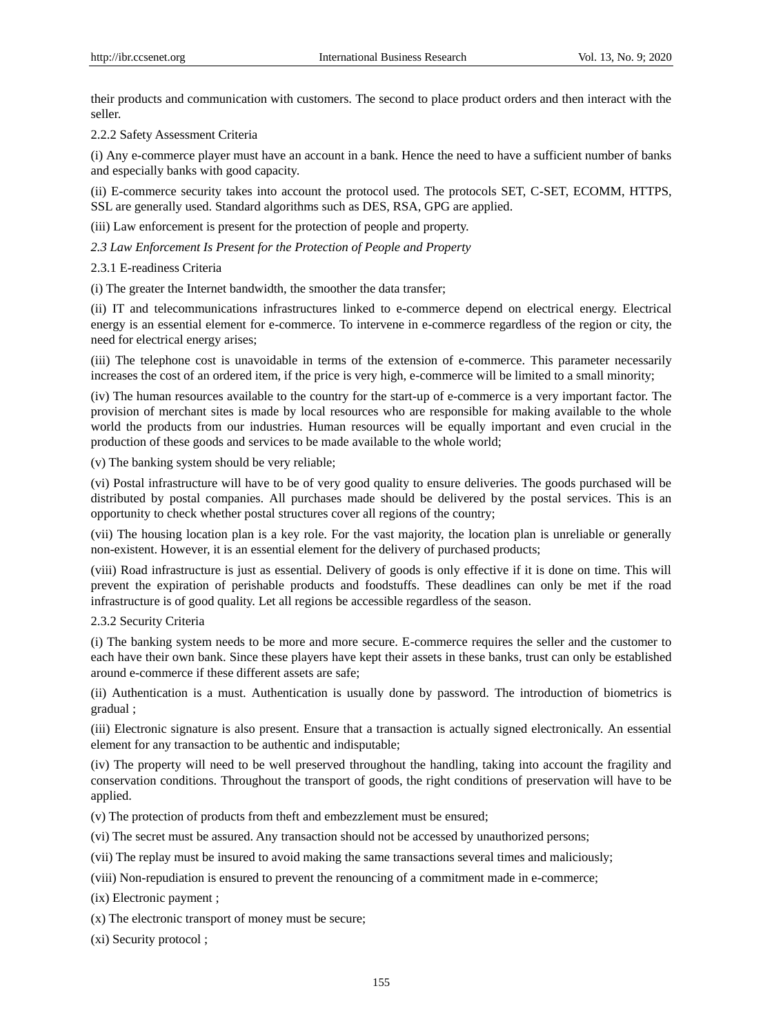their products and communication with customers. The second to place product orders and then interact with the seller.

2.2.2 Safety Assessment Criteria

(i) Any e-commerce player must have an account in a bank. Hence the need to have a sufficient number of banks and especially banks with good capacity.

(ii) E-commerce security takes into account the protocol used. The protocols SET, C-SET, ECOMM, HTTPS, SSL are generally used. Standard algorithms such as DES, RSA, GPG are applied.

(iii) Law enforcement is present for the protection of people and property.

*2.3 Law Enforcement Is Present for the Protection of People and Property*

## 2.3.1 E-readiness Criteria

(i) The greater the Internet bandwidth, the smoother the data transfer;

(ii) IT and telecommunications infrastructures linked to e-commerce depend on electrical energy. Electrical energy is an essential element for e-commerce. To intervene in e-commerce regardless of the region or city, the need for electrical energy arises;

(iii) The telephone cost is unavoidable in terms of the extension of e-commerce. This parameter necessarily increases the cost of an ordered item, if the price is very high, e-commerce will be limited to a small minority;

(iv) The human resources available to the country for the start-up of e-commerce is a very important factor. The provision of merchant sites is made by local resources who are responsible for making available to the whole world the products from our industries. Human resources will be equally important and even crucial in the production of these goods and services to be made available to the whole world;

(v) The banking system should be very reliable;

(vi) Postal infrastructure will have to be of very good quality to ensure deliveries. The goods purchased will be distributed by postal companies. All purchases made should be delivered by the postal services. This is an opportunity to check whether postal structures cover all regions of the country;

(vii) The housing location plan is a key role. For the vast majority, the location plan is unreliable or generally non-existent. However, it is an essential element for the delivery of purchased products;

(viii) Road infrastructure is just as essential. Delivery of goods is only effective if it is done on time. This will prevent the expiration of perishable products and foodstuffs. These deadlines can only be met if the road infrastructure is of good quality. Let all regions be accessible regardless of the season.

2.3.2 Security Criteria

(i) The banking system needs to be more and more secure. E-commerce requires the seller and the customer to each have their own bank. Since these players have kept their assets in these banks, trust can only be established around e-commerce if these different assets are safe;

(ii) Authentication is a must. Authentication is usually done by password. The introduction of biometrics is gradual ;

(iii) Electronic signature is also present. Ensure that a transaction is actually signed electronically. An essential element for any transaction to be authentic and indisputable;

(iv) The property will need to be well preserved throughout the handling, taking into account the fragility and conservation conditions. Throughout the transport of goods, the right conditions of preservation will have to be applied.

(v) The protection of products from theft and embezzlement must be ensured;

- (vi) The secret must be assured. Any transaction should not be accessed by unauthorized persons;
- (vii) The replay must be insured to avoid making the same transactions several times and maliciously;

(viii) Non-repudiation is ensured to prevent the renouncing of a commitment made in e-commerce;

(ix) Electronic payment ;

(x) The electronic transport of money must be secure;

(xi) Security protocol ;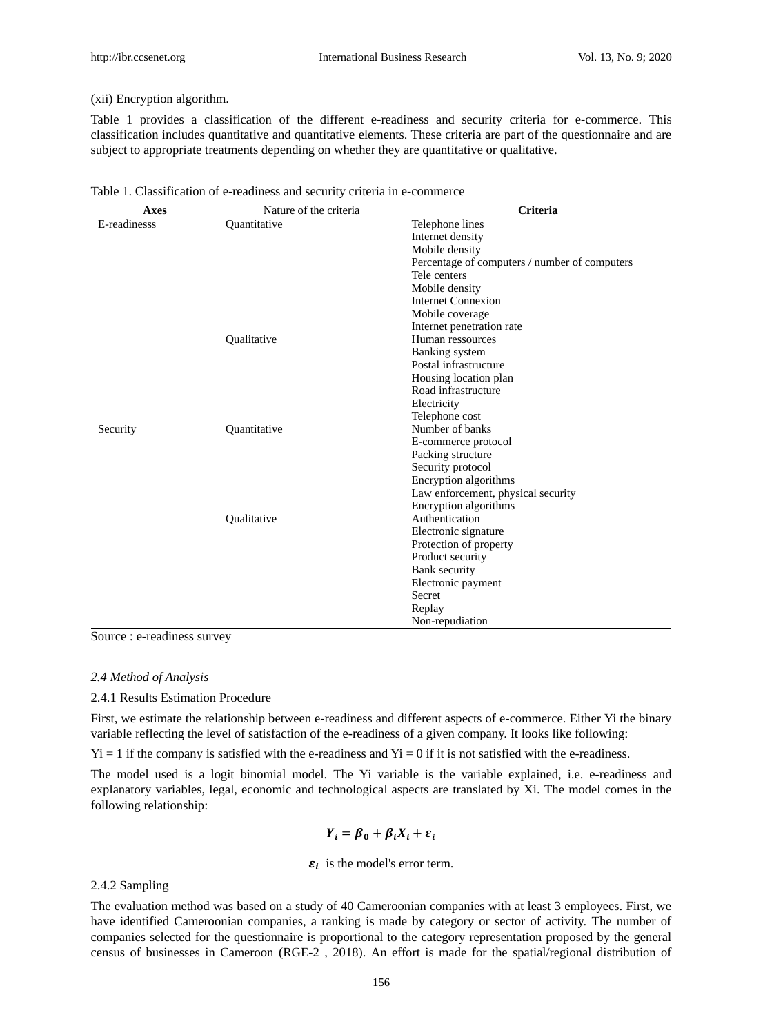## (xii) Encryption algorithm.

Table 1 provides a classification of the different e-readiness and security criteria for e-commerce. This classification includes quantitative and quantitative elements. These criteria are part of the questionnaire and are subject to appropriate treatments depending on whether they are quantitative or qualitative.

| <b>Axes</b>  | Nature of the criteria | Criteria                                      |
|--------------|------------------------|-----------------------------------------------|
| E-readinesss | Ouantitative           | Telephone lines                               |
|              |                        | Internet density                              |
|              |                        | Mobile density                                |
|              |                        | Percentage of computers / number of computers |
|              |                        | Tele centers                                  |
|              |                        | Mobile density                                |
|              |                        | <b>Internet Connexion</b>                     |
|              |                        | Mobile coverage                               |
|              |                        | Internet penetration rate                     |
|              | Qualitative            | Human ressources                              |
|              |                        | Banking system                                |
|              |                        | Postal infrastructure                         |
|              |                        | Housing location plan                         |
|              |                        | Road infrastructure                           |
|              |                        | Electricity                                   |
|              |                        | Telephone cost                                |
| Security     | Ouantitative           | Number of banks                               |
|              |                        | E-commerce protocol                           |
|              |                        | Packing structure                             |
|              |                        | Security protocol                             |
|              |                        | Encryption algorithms                         |
|              |                        | Law enforcement, physical security            |
|              |                        | Encryption algorithms                         |
|              | Oualitative            | Authentication                                |
|              |                        | Electronic signature                          |
|              |                        | Protection of property                        |
|              |                        | Product security                              |
|              |                        | Bank security                                 |
|              |                        | Electronic payment                            |
|              |                        | Secret                                        |
|              |                        | Replay                                        |
|              |                        | Non-repudiation                               |

| Table 1. Classification of e-readiness and security criteria in e-commerce |
|----------------------------------------------------------------------------|
|----------------------------------------------------------------------------|

Source : e-readiness survey

# *2.4 Method of Analysis*

2.4.1 Results Estimation Procedure

First, we estimate the relationship between e-readiness and different aspects of e-commerce. Either Yi the binary variable reflecting the level of satisfaction of the e-readiness of a given company. It looks like following:

 $Yi = 1$  if the company is satisfied with the e-readiness and  $Yi = 0$  if it is not satisfied with the e-readiness.

The model used is a logit binomial model. The Yi variable is the variable explained, i.e. e-readiness and explanatory variables, legal, economic and technological aspects are translated by Xi. The model comes in the following relationship:

$$
Y_i = \beta_0 + \beta_i X_i + \varepsilon_i
$$

# $\varepsilon_i$  is the model's error term.

## 2.4.2 Sampling

The evaluation method was based on a study of 40 Cameroonian companies with at least 3 employees. First, we have identified Cameroonian companies, a ranking is made by category or sector of activity. The number of companies selected for the questionnaire is proportional to the category representation proposed by the general census of businesses in Cameroon (RGE-2 , 2018). An effort is made for the spatial/regional distribution of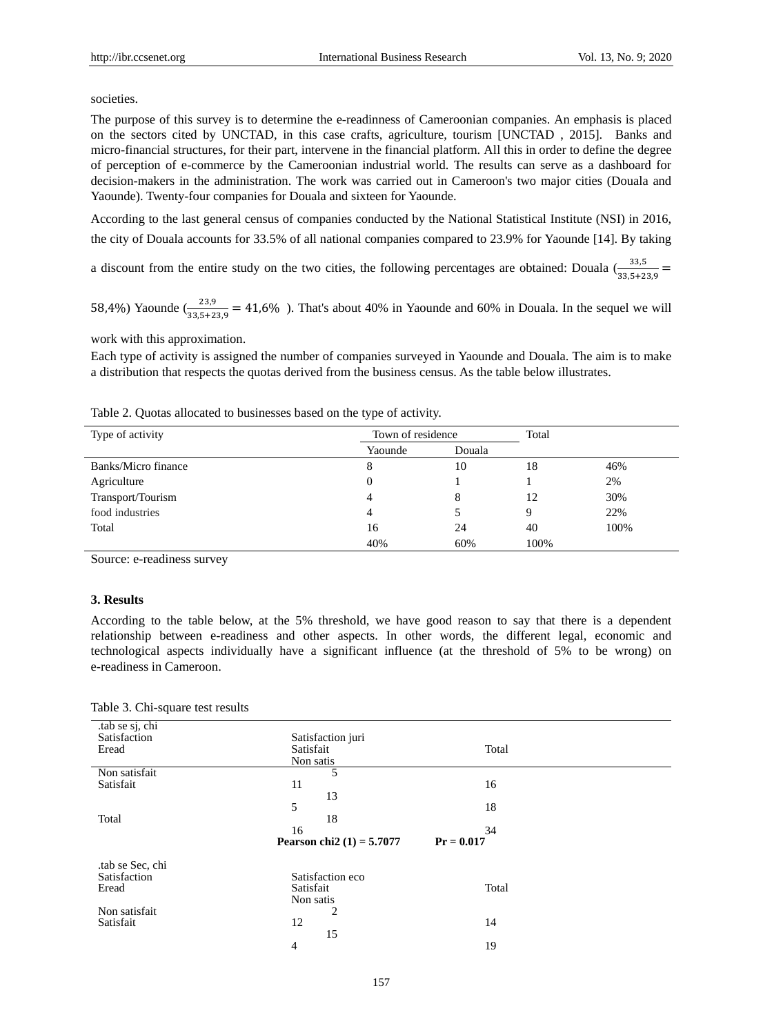societies.

The purpose of this survey is to determine the e-readinness of Cameroonian companies. An emphasis is placed on the sectors cited by UNCTAD, in this case crafts, agriculture, tourism [UNCTAD , 2015]. Banks and micro-financial structures, for their part, intervene in the financial platform. All this in order to define the degree of perception of e-commerce by the Cameroonian industrial world. The results can serve as a dashboard for decision-makers in the administration. The work was carried out in Cameroon's two major cities (Douala and Yaounde). Twenty-four companies for Douala and sixteen for Yaounde.

According to the last general census of companies conducted by the National Statistical Institute (NSI) in 2016, the city of Douala accounts for 33.5% of all national companies compared to 23.9% for Yaounde [14]. By taking

a discount from the entire study on the two cities, the following percentages are obtained: Douala  $\left(\frac{33,5}{33,5+23,9}\right)$ 

58,4%) Yaounde  $\left(\frac{23.9}{33.5+23.9} = 41.6\%$  ). That's about 40% in Yaounde and 60% in Douala. In the sequel we will

work with this approximation.

Each type of activity is assigned the number of companies surveyed in Yaounde and Douala. The aim is to make a distribution that respects the quotas derived from the business census. As the table below illustrates.

| Type of activity    | Town of residence |        | Total |      |
|---------------------|-------------------|--------|-------|------|
|                     | Yaounde           | Douala |       |      |
| Banks/Micro finance | 8                 | 10     | 18    | 46%  |
| Agriculture         | $\theta$          |        |       | 2%   |
| Transport/Tourism   | 4                 | 8      | 12    | 30%  |
| food industries     | 4                 |        | 9     | 22%  |
| Total               | 16                | 24     | 40    | 100% |
|                     | 40%               | 60%    | 100%  |      |

Table 2. Quotas allocated to businesses based on the type of activity.

Source: e-readiness survey

## **3. Results**

According to the table below, at the 5% threshold, we have good reason to say that there is a dependent relationship between e-readiness and other aspects. In other words, the different legal, economic and technological aspects individually have a significant influence (at the threshold of 5% to be wrong) on e-readiness in Cameroon.

| .tab se sj, chi |                             |              |  |
|-----------------|-----------------------------|--------------|--|
| Satisfaction    | Satisfaction juri           |              |  |
| Eread           | Satisfait                   | Total        |  |
|                 | Non satis                   |              |  |
|                 |                             |              |  |
| Non satisfait   | 5                           |              |  |
| Satisfait       | 11                          | 16           |  |
|                 | 13                          |              |  |
|                 | 5                           | 18           |  |
| Total           | 18                          |              |  |
|                 | 16                          | 34           |  |
|                 |                             |              |  |
|                 |                             |              |  |
|                 | Pearson chi2 $(1) = 5.7077$ | $Pr = 0.017$ |  |
|                 |                             |              |  |
| tab se Sec, chi |                             |              |  |
| Satisfaction    | Satisfaction eco            |              |  |
| Eread           | Satisfait                   | Total        |  |
|                 |                             |              |  |
|                 | Non satis                   |              |  |
| Non satisfait   | $\overline{2}$              |              |  |
| Satisfait       | 12                          | 14           |  |
|                 | 15                          |              |  |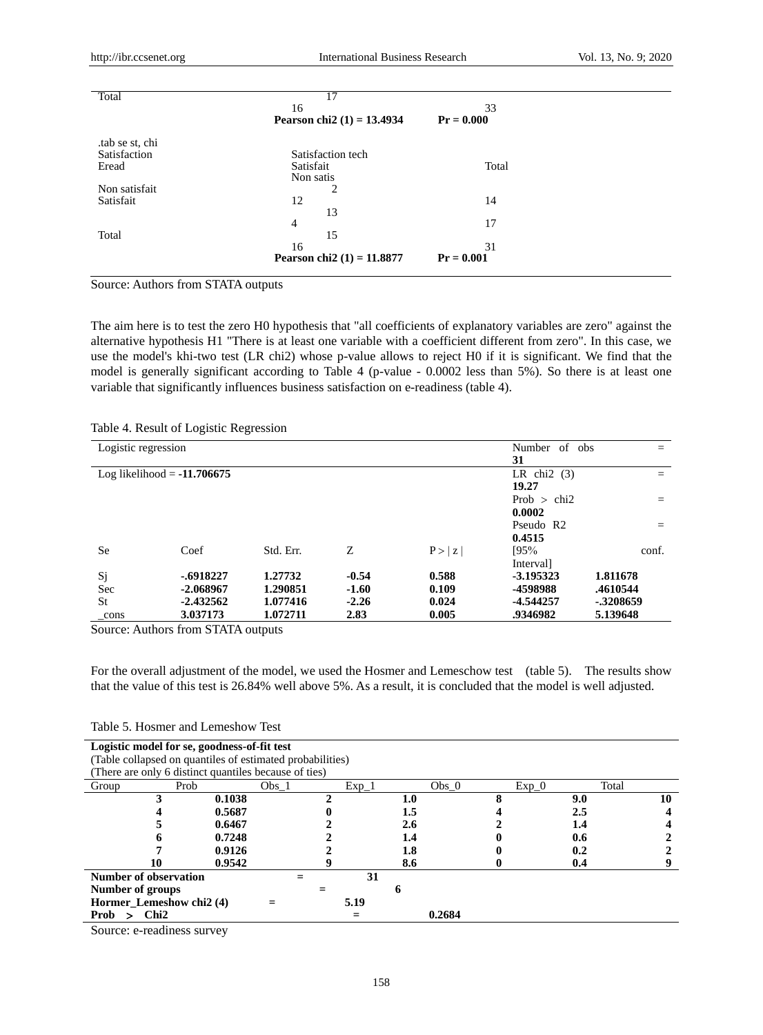| Total          | 17                           |              |
|----------------|------------------------------|--------------|
|                | 16                           | 33           |
|                | Pearson chi2 $(1) = 13.4934$ | $Pr = 0.000$ |
| tab se st, chi |                              |              |
| Satisfaction   | Satisfaction tech            |              |
| Eread          | Satisfait                    | Total        |
|                | Non satis                    |              |
| Non satisfait  | 2                            |              |
| Satisfait      | 12                           | 14           |
|                | 13                           |              |
|                | 4                            | 17           |
| Total          | 15                           |              |
|                | 16                           | 31           |
|                | Pearson chi2 $(1) = 11.8877$ | $Pr = 0.001$ |

Source: Authors from STATA outputs

The aim here is to test the zero H0 hypothesis that "all coefficients of explanatory variables are zero" against the alternative hypothesis H1 "There is at least one variable with a coefficient different from zero". In this case, we use the model's khi-two test (LR chi2) whose p-value allows to reject H0 if it is significant. We find that the model is generally significant according to Table 4 (p-value - 0.0002 less than 5%). So there is at least one variable that significantly influences business satisfaction on e-readiness (table 4).

|  | Table 4. Result of Logistic Regression |  |
|--|----------------------------------------|--|
|  |                                        |  |

| Logistic regression |                               |           |         |        | Number of<br>obs      | $=$       |
|---------------------|-------------------------------|-----------|---------|--------|-----------------------|-----------|
|                     |                               |           |         |        | 31                    |           |
|                     | Log likelihood $= -11.706675$ |           |         |        | LR chi $2(3)$         | $=$       |
|                     |                               |           |         |        | 19.27                 |           |
|                     |                               |           |         |        | Prob $>$ chi2         | $\equiv$  |
|                     |                               |           |         |        | 0.0002                |           |
|                     |                               |           |         |        | Pseudo R <sub>2</sub> | $\equiv$  |
|                     |                               |           |         |        | 0.4515                |           |
| <b>Se</b>           | Coef                          | Std. Err. | Z       | P >  z | 195%                  | conf.     |
|                     |                               |           |         |        | Interval]             |           |
| Sj                  | $-.6918227$                   | 1.27732   | $-0.54$ | 0.588  | $-3.195323$           | 1.811678  |
| Sec                 | $-2.068967$                   | 1.290851  | $-1.60$ | 0.109  | -4598988              | .4610544  |
| St                  | $-2.432562$                   | 1.077416  | $-2.26$ | 0.024  | -4.544257             | -.3208659 |
| $_{\rm cons}$       | 3.037173                      | 1.072711  | 2.83    | 0.005  | .9346982              | 5.139648  |

Source: Authors from STATA outputs

For the overall adjustment of the model, we used the Hosmer and Lemeschow test (table 5). The results show that the value of this test is 26.84% well above 5%. As a result, it is concluded that the model is well adjusted.

Table 5. Hosmer and Lemeshow Test

| Logistic model for se, goodness-of-fit test |                          |        |                                                           |         |         |         |         |       |    |
|---------------------------------------------|--------------------------|--------|-----------------------------------------------------------|---------|---------|---------|---------|-------|----|
|                                             |                          |        | (Table collapsed on quantiles of estimated probabilities) |         |         |         |         |       |    |
|                                             |                          |        | (There are only 6 distinct quantiles because of ties)     |         |         |         |         |       |    |
| Group                                       | Prob                     |        | Obs <sub>1</sub>                                          | $Exp_1$ |         | Obs $0$ | $Exp_0$ | Total |    |
|                                             |                          | 0.1038 |                                                           |         | $1.0\,$ |         |         | 9.0   | 10 |
|                                             |                          | 0.5687 |                                                           |         | 1.5     |         |         | 2.5   |    |
|                                             |                          | 0.6467 |                                                           |         | 2.6     |         |         | 1.4   |    |
|                                             |                          | 0.7248 |                                                           |         | 1.4     |         |         | 0.6   |    |
|                                             |                          | 0.9126 |                                                           |         | 1.8     |         |         | 0.2   |    |
|                                             | 10                       | 0.9542 |                                                           |         | 8.6     |         |         | 0.4   |    |
|                                             | Number of observation    |        |                                                           | 31      |         |         |         |       |    |
| Number of groups                            |                          |        |                                                           |         | n       |         |         |       |    |
|                                             | Hormer_Lemeshow chi2 (4) |        |                                                           | 5.19    |         |         |         |       |    |
| Prob                                        | Chi2                     |        |                                                           |         |         | 0.2684  |         |       |    |

Source: e-readiness survey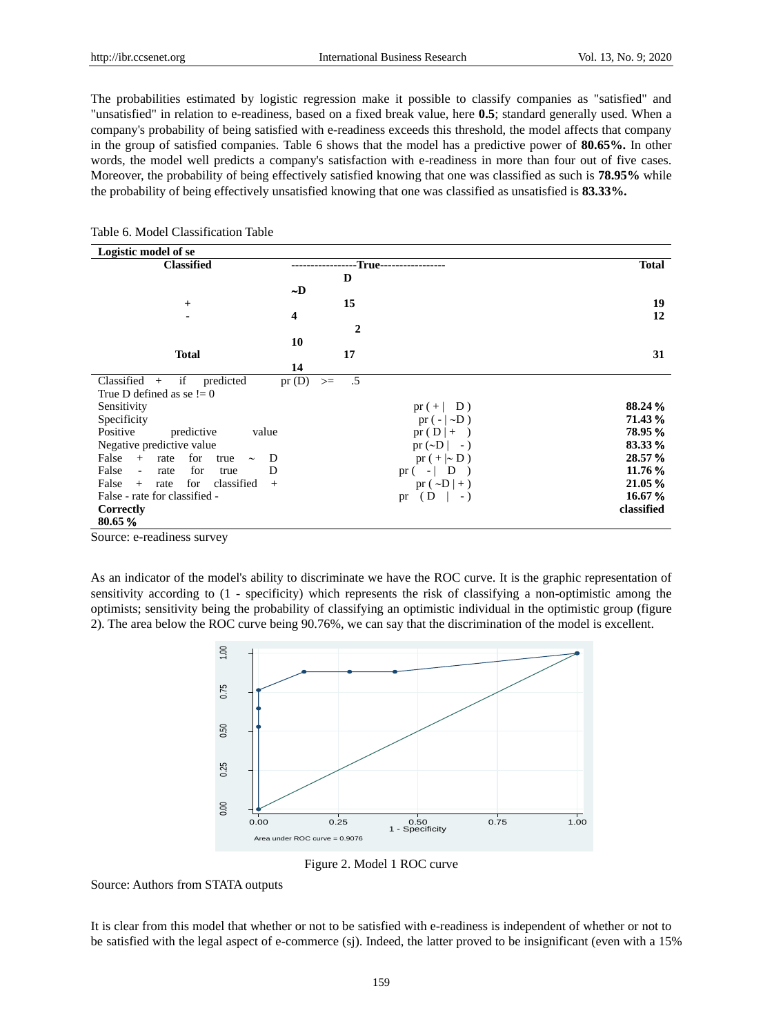The probabilities estimated by logistic regression make it possible to classify companies as "satisfied" and "unsatisfied" in relation to e-readiness, based on a fixed break value, here **0.5**; standard generally used. When a company's probability of being satisfied with e-readiness exceeds this threshold, the model affects that company in the group of satisfied companies. Table 6 shows that the model has a predictive power of **80.65%.** In other words, the model well predicts a company's satisfaction with e-readiness in more than four out of five cases. Moreover, the probability of being effectively satisfied knowing that one was classified as such is **78.95%** while the probability of being effectively unsatisfied knowing that one was classified as unsatisfied is **83.33%.**

| Logistic model of se                               |               |                                                     |              |
|----------------------------------------------------|---------------|-----------------------------------------------------|--------------|
| <b>Classified</b>                                  |               | -True--                                             | <b>Total</b> |
|                                                    | D             |                                                     |              |
|                                                    | $\sim$ D      |                                                     |              |
| $^{+}$                                             |               | 15                                                  | 19           |
| $\blacksquare$                                     | 4             |                                                     | 12           |
|                                                    |               | $\mathbf{2}$                                        |              |
|                                                    | 10            |                                                     |              |
| <b>Total</b>                                       |               | 17                                                  | 31           |
|                                                    | 14            |                                                     |              |
| Classified<br>if<br>predicted<br>$+$               | pr(D)<br>$>=$ | .5                                                  |              |
| True D defined as se $!= 0$                        |               |                                                     |              |
| Sensitivity                                        |               | $pr (+   D)$                                        | 88.24 %      |
| Specificity                                        |               | $pr(- \sim D)$                                      | 71.43 %      |
| Positive<br>predictive<br>value                    |               | $pr(D +-)$                                          | 78.95 %      |
| Negative predictive value                          |               | pr $(\sim D \vert -)$                               | 83.33 %      |
| False<br>for<br>D<br>$+$<br>rate<br>true<br>$\sim$ |               | $pr (+ D)$                                          | 28.57 %      |
| False<br>for<br>D<br>rate<br>$\sim$<br>true        |               | $\mathbf{D}$<br>pr $(-$<br>$\overline{\phantom{a}}$ | 11.76 %      |
| False<br>for<br>classified<br>$+$<br>rate<br>$+$   |               | pr $(\sim D \rvert + )$                             | 21.05 %      |
| False - rate for classified -                      |               | (D<br>$-$ )<br>pr                                   | 16.67 %      |
| Correctly                                          |               |                                                     | classified   |
| 80.65%                                             |               |                                                     |              |

## Table 6. Model Classification Table

Source: e-readiness survey

As an indicator of the model's ability to discriminate we have the ROC curve. It is the graphic representation of sensitivity according to (1 - specificity) which represents the risk of classifying a non-optimistic among the optimists; sensitivity being the probability of classifying an optimistic individual in the optimistic group (figure 2). The area below the ROC curve being 90.76%, we can say that the discrimination of the model is excellent.



Figure 2. Model 1 ROC curve

Source: Authors from STATA outputs

It is clear from this model that whether or not to be satisfied with e-readiness is independent of whether or not to be satisfied with the legal aspect of e-commerce (sj). Indeed, the latter proved to be insignificant (even with a 15%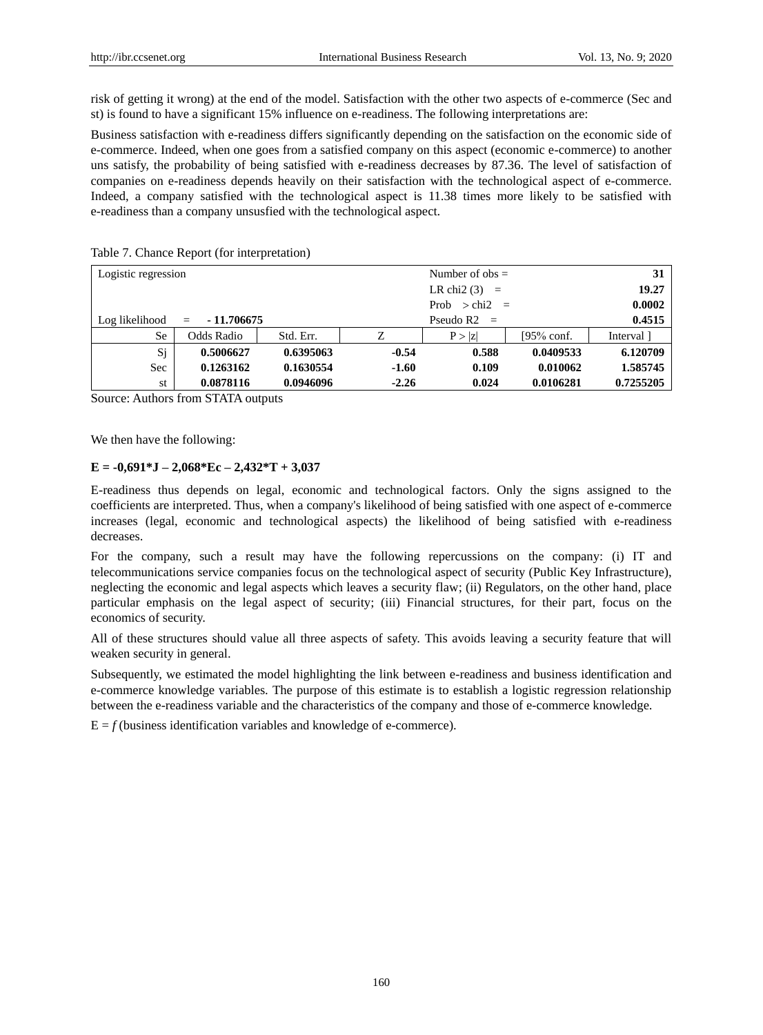risk of getting it wrong) at the end of the model. Satisfaction with the other two aspects of e-commerce (Sec and st) is found to have a significant 15% influence on e-readiness. The following interpretations are:

Business satisfaction with e-readiness differs significantly depending on the satisfaction on the economic side of e-commerce. Indeed, when one goes from a satisfied company on this aspect (economic e-commerce) to another uns satisfy, the probability of being satisfied with e-readiness decreases by 87.36. The level of satisfaction of companies on e-readiness depends heavily on their satisfaction with the technological aspect of e-commerce. Indeed, a company satisfied with the technological aspect is 11.38 times more likely to be satisfied with e-readiness than a company unsusfied with the technological aspect.

| Logistic regression |                              |                 |                        | Number of $obs =$ |           | 31        |
|---------------------|------------------------------|-----------------|------------------------|-------------------|-----------|-----------|
|                     |                              | LR chi2 $(3)$ = |                        |                   |           |           |
|                     |                              |                 | Prob $>$ chi2 $=$      |                   |           |           |
| Log likelihood      | $-11.706675$<br>$\alpha = 1$ |                 |                        | Pseudo $R2 =$     |           | 0.4515    |
| <b>Se</b>           | Odds Radio                   | Std. Err.       | $[95%$ conf.<br>P >  z |                   |           |           |
| Sj                  | 0.5006627                    | 0.6395063       | $-0.54$                | 0.588             | 0.0409533 | 6.120709  |
| Sec                 | 0.1263162                    | 0.1630554       | $-1.60$                | 0.109             | 0.010062  | 1.585745  |
| st                  | 0.0878116                    | 0.0946096       | $-2.26$                | 0.024             | 0.0106281 | 0.7255205 |

Table 7. Chance Report (for interpretation)

Source: Authors from STATA outputs

We then have the following:

## **E = -0,691\*J – 2,068\*Ec – 2,432\*T + 3,037**

E-readiness thus depends on legal, economic and technological factors. Only the signs assigned to the coefficients are interpreted. Thus, when a company's likelihood of being satisfied with one aspect of e-commerce increases (legal, economic and technological aspects) the likelihood of being satisfied with e-readiness decreases.

For the company, such a result may have the following repercussions on the company: (i) IT and telecommunications service companies focus on the technological aspect of security (Public Key Infrastructure), neglecting the economic and legal aspects which leaves a security flaw; (ii) Regulators, on the other hand, place particular emphasis on the legal aspect of security; (iii) Financial structures, for their part, focus on the economics of security.

All of these structures should value all three aspects of safety. This avoids leaving a security feature that will weaken security in general.

Subsequently, we estimated the model highlighting the link between e-readiness and business identification and e-commerce knowledge variables. The purpose of this estimate is to establish a logistic regression relationship between the e-readiness variable and the characteristics of the company and those of e-commerce knowledge.

 $E = f$  (business identification variables and knowledge of e-commerce).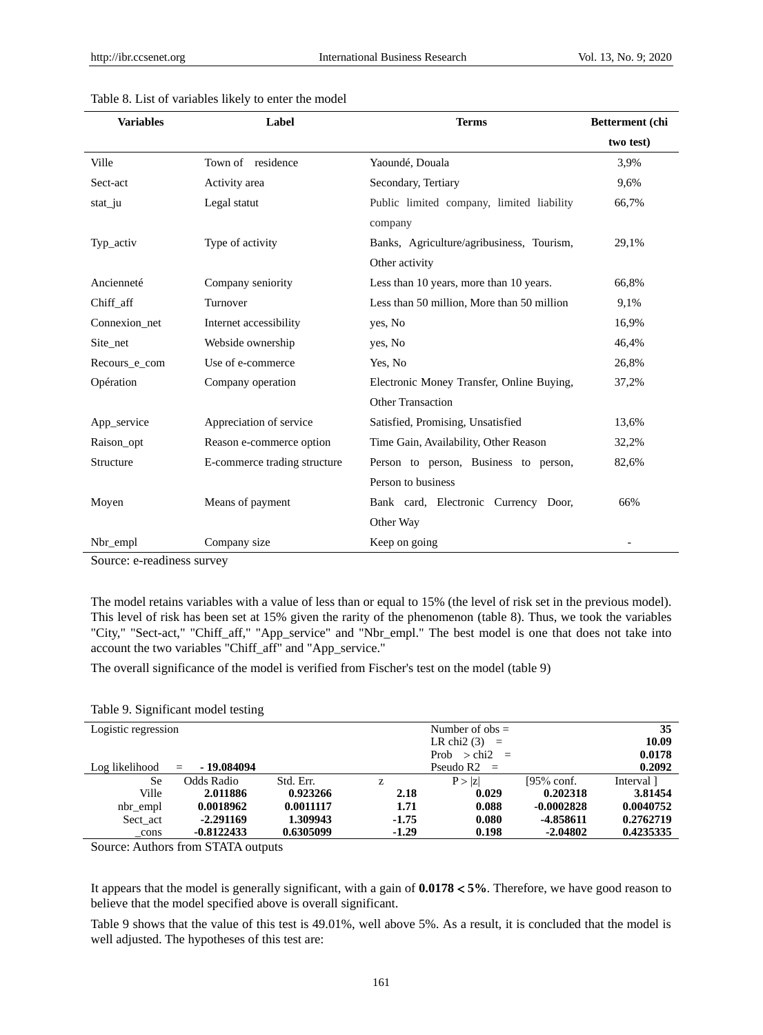| <b>Variables</b> | Label                        | <b>Terms</b>                                                | Betterment (chi |  |
|------------------|------------------------------|-------------------------------------------------------------|-----------------|--|
|                  |                              |                                                             | two test)       |  |
| Ville            | Town of residence            | Yaound é Douala                                             | 3.9%            |  |
| Sect-act         | Activity area                | Secondary, Tertiary                                         | 9,6%            |  |
| stat_ju          | Legal statut                 | Public limited company, limited liability<br>company        | 66,7%           |  |
| Typ_activ        | Type of activity             | Banks, Agriculture/agribusiness, Tourism,<br>Other activity | 29,1%           |  |
| Anciennet é      | Company seniority            | Less than 10 years, more than 10 years.                     | 66,8%           |  |
| Chiff aff        | Turnover                     | Less than 50 million, More than 50 million                  | 9,1%            |  |
| Connexion net    | Internet accessibility       | yes, No                                                     | 16,9%           |  |
| Site_net         | Webside ownership            | yes, No                                                     | 46,4%           |  |
| Recours e com    | Use of e-commerce            | Yes, No                                                     | 26,8%           |  |
| Opération        | Company operation            | Electronic Money Transfer, Online Buying,                   | 37,2%           |  |
|                  |                              | <b>Other Transaction</b>                                    |                 |  |
| App_service      | Appreciation of service      | Satisfied, Promising, Unsatisfied                           | 13,6%           |  |
| Raison_opt       | Reason e-commerce option     | Time Gain, Availability, Other Reason                       | 32,2%           |  |
| Structure        | E-commerce trading structure | Person to person, Business to person,                       | 82,6%           |  |
|                  |                              | Person to business                                          |                 |  |
| Moyen            | Means of payment             | Bank card, Electronic Currency Door,                        | 66%             |  |
|                  |                              | Other Way                                                   |                 |  |
| Nbr_empl         | Company size                 | Keep on going                                               |                 |  |

Source: e-readiness survey

The model retains variables with a value of less than or equal to 15% (the level of risk set in the previous model). This level of risk has been set at 15% given the rarity of the phenomenon (table 8). Thus, we took the variables "City," "Sect-act," "Chiff\_aff," "App\_service" and "Nbr\_empl." The best model is one that does not take into account the two variables "Chiff\_aff" and "App\_service."

The overall significance of the model is verified from Fischer's test on the model (table 9)

|  | Table 9. Significant model testing |  |  |
|--|------------------------------------|--|--|
|--|------------------------------------|--|--|

| Logistic regression |                    |                   |         | Number of $obs =$ |              | 35         |
|---------------------|--------------------|-------------------|---------|-------------------|--------------|------------|
|                     |                    |                   |         | LR chi2 $(3)$ =   |              | 10.09      |
|                     |                    | Prob $>$ chi2 $=$ |         |                   |              | 0.0178     |
| Log likelihood      | - 19.084094<br>$=$ |                   |         | Pseudo $R2 =$     |              | 0.2092     |
| <b>Se</b>           | Odds Radio         | Std. Err.         | Z.      | P >  z            | $195%$ conf. | Interval 1 |
| Ville               | 2.011886           | 0.923266          | 2.18    | 0.029             | 0.202318     | 3.81454    |
| nbr_empl            | 0.0018962          | 0.0011117         | 1.71    | 0.088             | $-0.0002828$ | 0.0040752  |
| Sect act            | $-2.291169$        | 1.309943          | $-1.75$ | 0.080             | -4.858611    | 0.2762719  |
| cons                | $-0.8122433$       | 0.6305099         | $-1.29$ | 0.198             | $-2.04802$   | 0.4235335  |

Source: Authors from STATA outputs

It appears that the model is generally significant, with a gain of **0.0178 5%**. Therefore, we have good reason to believe that the model specified above is overall significant.

Table 9 shows that the value of this test is 49.01%, well above 5%. As a result, it is concluded that the model is well adjusted. The hypotheses of this test are: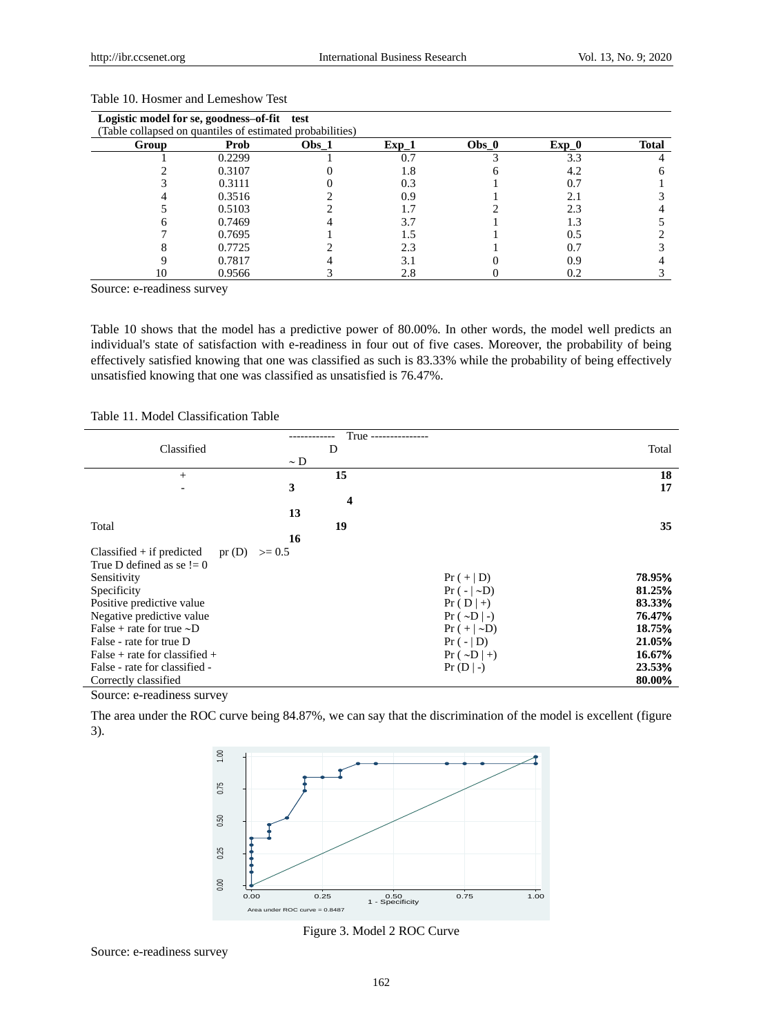| Logistic model for se, goodness-of-fit test               |        |         |         |       |         |              |
|-----------------------------------------------------------|--------|---------|---------|-------|---------|--------------|
| (Table collapsed on quantiles of estimated probabilities) |        |         |         |       |         |              |
| Group                                                     | Prob   | $Obs_1$ | $Exp_1$ | Obs_0 | $Exp_0$ | <b>Total</b> |
|                                                           | 0.2299 |         |         |       | 3.3     |              |
|                                                           | 0.3107 |         | 1.8     |       | 4.2     |              |
|                                                           | 0.3111 |         | 0.3     |       | 0.7     |              |
|                                                           | 0.3516 |         | 0.9     |       | 2.1     |              |
|                                                           | 0.5103 |         |         |       | 2.3     |              |
|                                                           | 0.7469 |         | 3.7     |       | 1.3     |              |
|                                                           | 0.7695 |         |         |       | 0.5     |              |
|                                                           | 0.7725 |         | 2.3     |       | 0.7     |              |
|                                                           | 0.7817 |         | 3.1     |       | 0.9     |              |
| 10                                                        | 0.9566 |         | 2.8     |       | 0.2     |              |

# Table 10. Hosmer and Lemeshow Test

Source: e-readiness survey

Table 10 shows that the model has a predictive power of 80.00%. In other words, the model well predicts an individual's state of satisfaction with e-readiness in four out of five cases. Moreover, the probability of being effectively satisfied knowing that one was classified as such is 83.33% while the probability of being effectively unsatisfied knowing that one was classified as unsatisfied is 76.47%.

# Table 11. Model Classification Table

|                                                  | True ---------------    |                    |        |
|--------------------------------------------------|-------------------------|--------------------|--------|
| Classified                                       | D                       |                    | Total  |
|                                                  | $\sim$ D                |                    |        |
| $+$                                              | 15                      |                    | 18     |
|                                                  | 3                       |                    | 17     |
|                                                  | $\overline{\mathbf{4}}$ |                    |        |
|                                                  | 13                      |                    |        |
| Total                                            | 19                      |                    | 35     |
|                                                  | 16                      |                    |        |
| pr(D)<br>$Classified + if predicted$<br>$>= 0.5$ |                         |                    |        |
| True D defined as se $!= 0$                      |                         |                    |        |
| Sensitivity                                      |                         | $Pr (+   D)$       | 78.95% |
| Specificity                                      |                         | $Pr(- D)$          | 81.25% |
| Positive predictive value                        |                         | $Pr(D +)$          | 83.33% |
| Negative predictive value                        |                         | $Pr(.~D -)$        | 76.47% |
| False + rate for true $\sim D$                   |                         | $Pr (+   \sim D)$  | 18.75% |
| False - rate for true D                          |                         | $Pr(- D)$          | 21.05% |
| False + rate for classified +                    |                         | $Pr(. \sim D   +)$ | 16.67% |
| False - rate for classified -                    |                         | $Pr(D -)$          | 23.53% |
| Correctly classified                             |                         |                    | 80.00% |

Source: e-readiness survey

The area under the ROC curve being 84.87%, we can say that the discrimination of the model is excellent (figure 3).



Figure 3. Model 2 ROC Curve

Source: e-readiness survey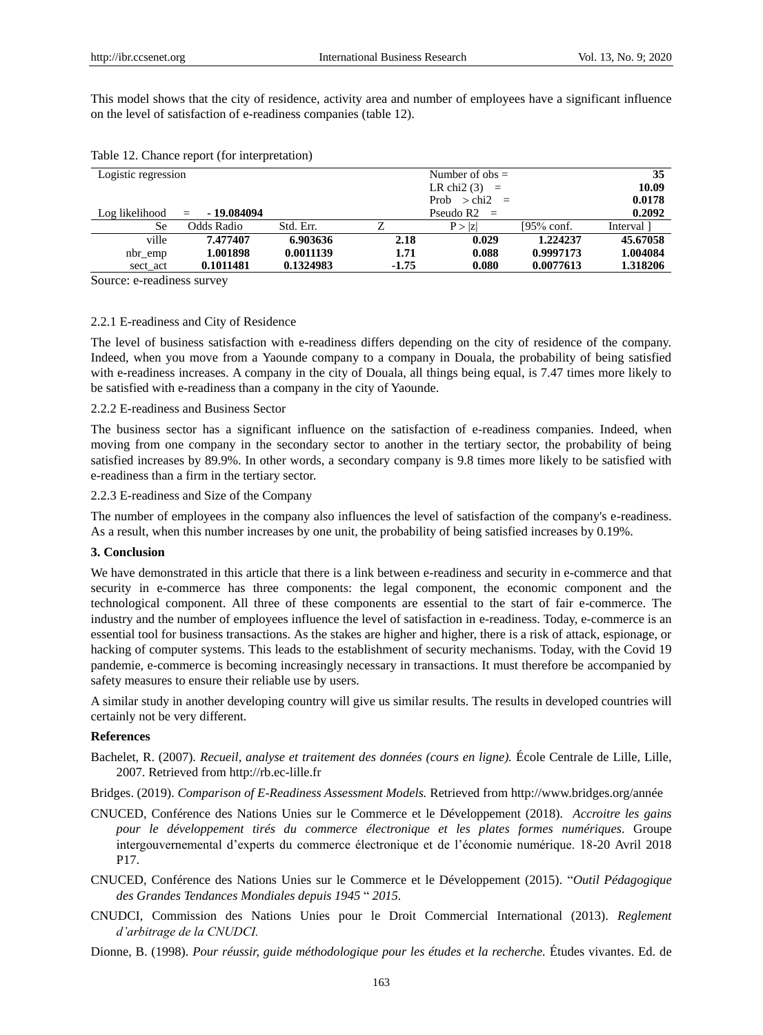This model shows that the city of residence, activity area and number of employees have a significant influence on the level of satisfaction of e-readiness companies (table 12).

| Logistic regression |                               |           |         | Number of obs $=$    |              | 35         |
|---------------------|-------------------------------|-----------|---------|----------------------|--------------|------------|
|                     |                               |           |         | LR chi $2(3)$<br>$=$ |              | 10.09      |
|                     |                               |           |         | Prob $>$ chi2 $=$    |              | 0.0178     |
| Log likelihood      | - 19.084094<br>$\alpha = 100$ |           |         | Pseudo $R2 =$        |              | 0.2092     |
| Se                  | Odds Radio                    | Std. Err. |         | P >  z               | $195%$ conf. | Interval 1 |
| ville               | 7.477407                      | 6.903636  | 2.18    | 0.029                | 1.224237     | 45.67058   |
| nbr_emp             | 1.001898                      | 0.0011139 | 1.71    | 0.088                | 0.9997173    | 1.004084   |
| sect act            | 0.1011481                     | 0.1324983 | $-1.75$ | 0.080                | 0.0077613    | 1.318206   |

### Table 12. Chance report (for interpretation)

Source: e-readiness survey

## 2.2.1 E-readiness and City of Residence

The level of business satisfaction with e-readiness differs depending on the city of residence of the company. Indeed, when you move from a Yaounde company to a company in Douala, the probability of being satisfied with e-readiness increases. A company in the city of Douala, all things being equal, is 7.47 times more likely to be satisfied with e-readiness than a company in the city of Yaounde.

#### 2.2.2 E-readiness and Business Sector

The business sector has a significant influence on the satisfaction of e-readiness companies. Indeed, when moving from one company in the secondary sector to another in the tertiary sector, the probability of being satisfied increases by 89.9%. In other words, a secondary company is 9.8 times more likely to be satisfied with e-readiness than a firm in the tertiary sector.

#### 2.2.3 E-readiness and Size of the Company

The number of employees in the company also influences the level of satisfaction of the company's e-readiness. As a result, when this number increases by one unit, the probability of being satisfied increases by 0.19%.

#### **3. Conclusion**

We have demonstrated in this article that there is a link between e-readiness and security in e-commerce and that security in e-commerce has three components: the legal component, the economic component and the technological component. All three of these components are essential to the start of fair e-commerce. The industry and the number of employees influence the level of satisfaction in e-readiness. Today, e-commerce is an essential tool for business transactions. As the stakes are higher and higher, there is a risk of attack, espionage, or hacking of computer systems. This leads to the establishment of security mechanisms. Today, with the Covid 19 pandemie, e-commerce is becoming increasingly necessary in transactions. It must therefore be accompanied by safety measures to ensure their reliable use by users.

A similar study in another developing country will give us similar results. The results in developed countries will certainly not be very different.

#### **References**

- Bachelet, R. (2007). *Recueil, analyse et traitement des données (cours en ligne).* École Centrale de Lille, Lille, 2007. Retrieved from http://rb.ec-lille.fr
- Bridges. (2019). *Comparison of E-Readiness Assessment Models.* Retrieved from http://www.bridges.org/année
- CNUCED, Conférence des Nations Unies sur le Commerce et le Développement (2018). *Accroitre les gains pour le développement tirés du commerce électronique et les plates formes numériques*. Groupe intergouvernemental d'experts du commerce électronique et de l'économie numérique. 18-20 Avril 2018 P17.
- CNUCED, Conférence des Nations Unies sur le Commerce et le Développement (2015). "*Outil Pédagogique des Grandes Tendances Mondiales depuis 1945* " *2015.*
- CNUDCI, Commission des Nations Unies pour le Droit Commercial International (2013). *Reglement d'arbitrage de la CNUDCI.*
- Dionne, B. (1998). *Pour réussir, guide méthodologique pour les études et la recherche.* Études vivantes. Ed. de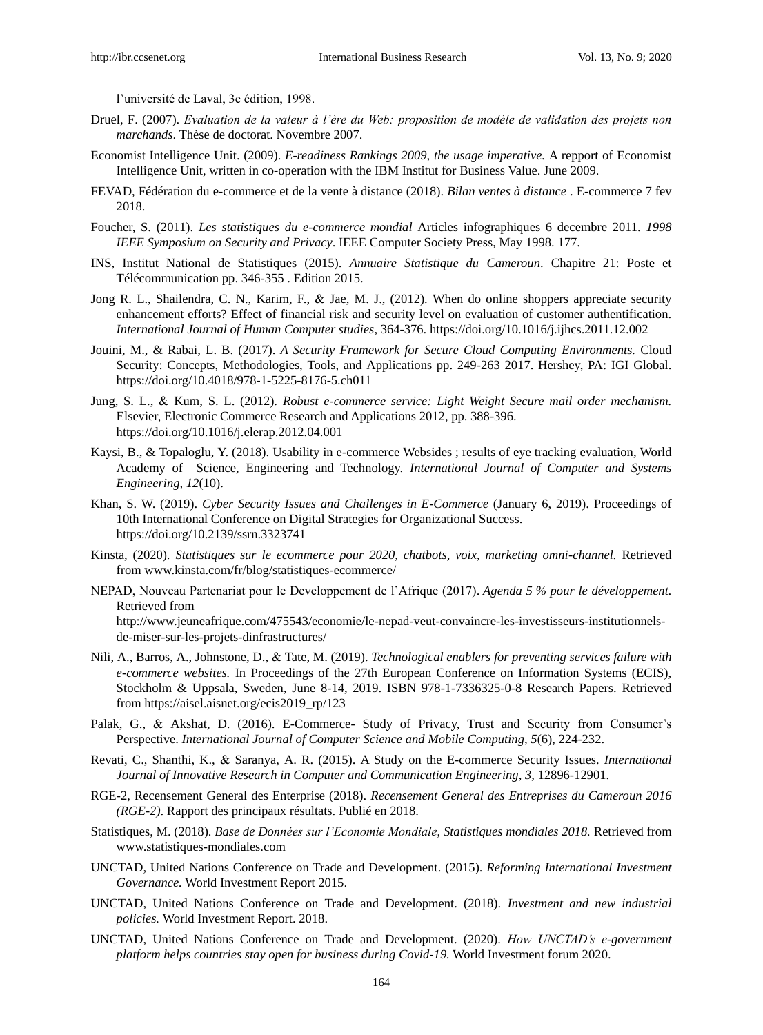l'université de Laval, 3e édition, 1998.

- Druel, F. (2007). *Evaluation de la valeur à l'ère du Web: proposition de modèle de validation des projets non marchands*. Thèse de doctorat. Novembre 2007.
- Economist Intelligence Unit. (2009). *E-readiness Rankings 2009, the usage imperative.* A repport of Economist Intelligence Unit, written in co-operation with the IBM Institut for Business Value. June 2009.
- FEVAD, Fédération du e-commerce et de la vente à distance (2018). *Bilan ventes à distance* . E-commerce 7 fev 2018.
- Foucher, S. (2011). *Les statistiques du e-commerce mondial* Articles infographiques 6 decembre 2011. *1998 IEEE Symposium on Security and Privacy*. IEEE Computer Society Press, May 1998. 177.
- INS, Institut National de Statistiques (2015). *Annuaire Statistique du Cameroun*. Chapitre 21: Poste et Télécommunication pp. 346-355. Edition 2015.
- Jong R. L., Shailendra, C. N., Karim, F., & Jae, M. J., (2012). When do online shoppers appreciate security enhancement efforts? Effect of financial risk and security level on evaluation of customer authentification. *International Journal of Human Computer studies,* 364-376. https://doi.org/10.1016/j.ijhcs.2011.12.002
- Jouini, M., & Rabai, L. B. (2017). *A Security Framework for Secure Cloud Computing Environments.* Cloud Security: Concepts, Methodologies, Tools, and Applications pp. 249-263 2017. Hershey, PA: IGI Global. https://doi.org/10.4018/978-1-5225-8176-5.ch011
- Jung, S. L., Kum, S. L. (2012). *Robust e-commerce service: Light Weight Secure mail order mechanism.* Elsevier, Electronic Commerce Research and Applications 2012, pp. 388-396. https://doi.org/10.1016/j.elerap.2012.04.001
- Kaysi, B., & Topaloglu, Y. (2018). Usability in e-commerce Websides ; results of eye tracking evaluation, World Academy of Science, Engineering and Technology. *International Journal of Computer and Systems Engineering, 12*(10).
- Khan, S. W. (2019). *Cyber Security Issues and Challenges in E-Commerce* (January 6, 2019). Proceedings of 10th International Conference on Digital Strategies for Organizational Success. https://doi.org/10.2139/ssrn.3323741
- Kinsta, (2020). *Statistiques sur le ecommerce pour 2020, chatbots, voix, marketing omni-channel.* Retrieved from [www.kinsta.com/fr/blog/statistiques-ecommerce/](http://www.kinsta.com/fr/blog/statistiques-ecommerce/)
- NEPAD, Nouveau Partenariat pour le Developpement de l'Afrique (2017). *Agenda 5 % pour le développement.* Retrieved from [http://www.jeuneafrique.com/475543/economie/le-nepad-veut-convaincre-les-investisseurs-institutionnels](http://www.jeuneafrique.com/475543/economie/le-nepad-veut-convaincre-les-investisseurs-institutionnels-de-miser-sur-les-projets-dinfrastructures/)[de-miser-sur-les-projets-dinfrastructures/](http://www.jeuneafrique.com/475543/economie/le-nepad-veut-convaincre-les-investisseurs-institutionnels-de-miser-sur-les-projets-dinfrastructures/)
- Nili, A., Barros, A., Johnstone, D., & Tate, M. (2019). *Technological enablers for preventing services failure with e-commerce websites.* In Proceedings of the 27th European Conference on Information Systems (ECIS), Stockholm & Uppsala, Sweden, June 8-14, 2019. ISBN 978-1-7336325-0-8 Research Papers. Retrieved from [https://aisel.aisnet.org/ecis2019\\_rp/123](https://aisel.aisnet.org/ecis2019_rp/123)
- Palak, G., & Akshat, D. (2016). E-Commerce- Study of Privacy, Trust and Security from Consumer's Perspective. *International Journal of Computer Science and Mobile Computing, 5*(6), 224-232.
- Revati, C., Shanthi, K., & Saranya, A. R. (2015). A Study on the E-commerce Security Issues. *International Journal of Innovative Research in Computer and Communication Engineering, 3,* 12896-12901.
- RGE-2, Recensement General des Enterprise (2018). *Recensement General des Entreprises du Cameroun 2016 (RGE-2)*. Rapport des principaux résultats. Publié en 2018.
- Statistiques, M. (2018). *Base de Données sur l'Economie Mondiale*, *Statistiques mondiales 2018.* Retrieved from [www.statistiques-mondiales.com](http://www.statistiques-mondiales.com/)
- UNCTAD, United Nations Conference on Trade and Development. (2015). *Reforming International Investment Governance.* World Investment Report 2015.
- UNCTAD, United Nations Conference on Trade and Development. (2018). *Investment and new industrial policies.* World Investment Report. 2018.
- UNCTAD, United Nations Conference on Trade and Development. (2020). *How UNCTAD's e-government platform helps countries stay open for business during Covid-19.* World Investment forum 2020.